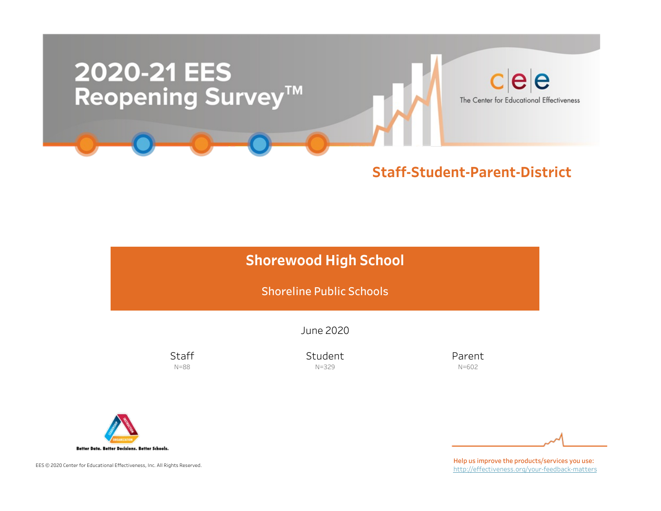

# **Shorewood High School**

Shoreline Public Schools

June2020

**Staff** N=88

Student N=329

Parent N=602



EES © 2020 Center for Educational Effectiveness, Inc. All Rights Reserved.

Help us improve the products/services you use: http://effectiveness.org/your-feedback-matters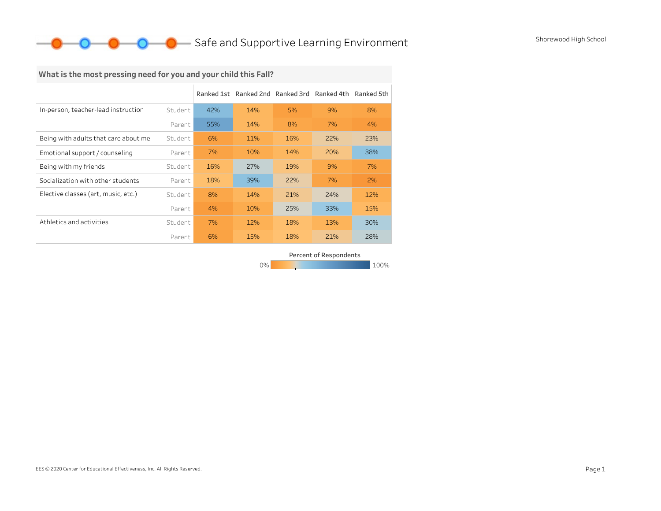### **O** Safe and Supportive Learning Environment Shorewood High School

### What is the most pressing need for you and your child this Fall?

|                                      |         |     | Ranked 1st Ranked 2nd Ranked 3rd Ranked 4th Ranked 5th |     |     |     |
|--------------------------------------|---------|-----|--------------------------------------------------------|-----|-----|-----|
| In-person, teacher-lead instruction  | Student | 42% | 14%                                                    | 5%  | 9%  | 8%  |
|                                      | Parent  | 55% | 14%                                                    | 8%  | 7%  | 4%  |
| Being with adults that care about me | Student | 6%  | 11%                                                    | 16% | 22% | 23% |
| Emotional support / counseling       | Parent  | 7%  | 10%                                                    | 14% | 20% | 38% |
| Being with my friends                | Student | 16% | 27%                                                    | 19% | 9%  | 7%  |
| Socialization with other students    | Parent  | 18% | 39%                                                    | 22% | 7%  | 2%  |
| Elective classes (art, music, etc.)  | Student | 8%  | 14%                                                    | 21% | 24% | 12% |
|                                      | Parent  | 4%  | 10%                                                    | 25% | 33% | 15% |
| Athletics and activities             | Student | 7%  | 12%                                                    | 18% | 13% | 30% |
|                                      | Parent  | 6%  | 15%                                                    | 18% | 21% | 28% |

Percent of Respondents

0% 100% 100% 100% 100%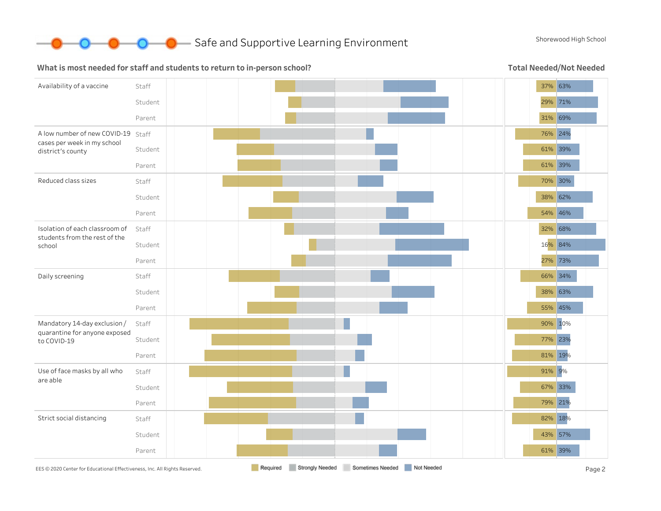

#### What is most needed for staff and students to return to in-person school?

Total Needed/Not Needed

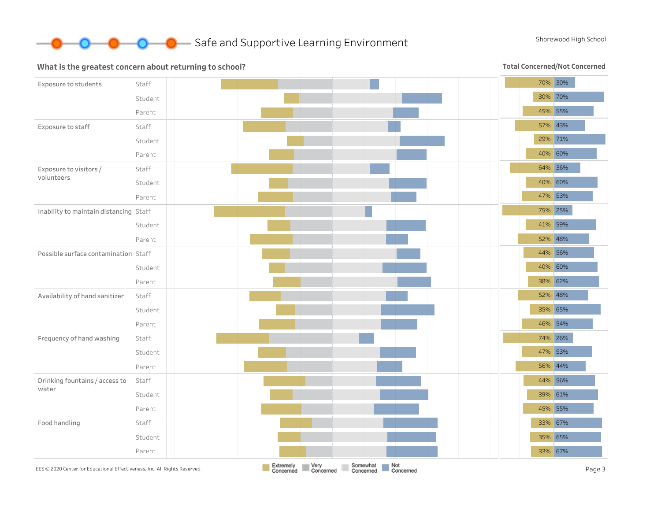

#### What is the greatest concern about returning to school?

Total Concerned/Not Concerned

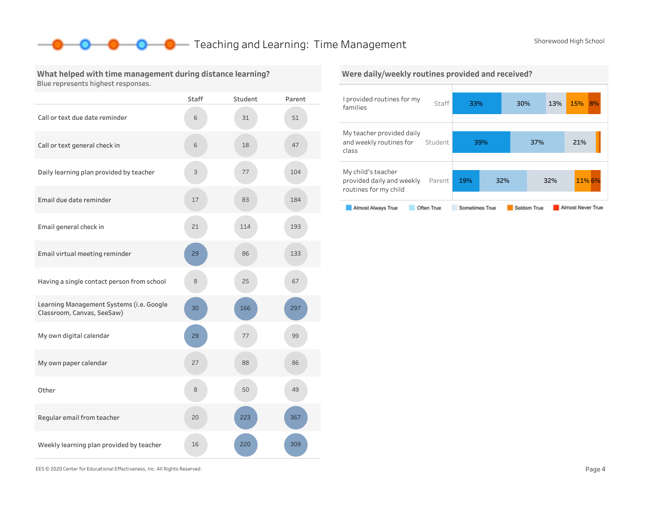### **O** Teaching and Learning: Time Management Shorewood High School

class

#### What helped with time management during distance learning? Blue represents highest responses.

|                                                                        | Staff | Student | Parent |
|------------------------------------------------------------------------|-------|---------|--------|
| Call or text due date reminder                                         | 6     | 31      | 51     |
| Call or text general check in                                          | 6     | 18      | 47     |
| Daily learning plan provided by teacher                                | 3     | 77      | 104    |
| Email due date reminder                                                | 17    | 83      | 184    |
| Email general check in                                                 | 21    | 114     | 193    |
| Email virtual meeting reminder                                         | 29    | 86      | 133    |
| Having a single contact person from school                             | 8     | 25      | 67     |
| Learning Management Systems (i.e. Google<br>Classroom, Canvas, SeeSaw) | 30    | 166     | 297    |
| My own digital calendar                                                | 29    | 77      | 99     |
| My own paper calendar                                                  | 27    | 88      | 86     |
| Other                                                                  | 8     | 50      | 49     |
| Regular email from teacher                                             | 20    | 223     | 367    |
| Weekly learning plan provided by teacher                               | 16    | 220     | 309    |

#### I provided routines for my families Staff My teacher provided daily and weekly routines for Student 33% 30% 13% 15% 8% 39% 37% 21% Were daily/weekly routines provided and received?

#### Mychild'steacher provided daily and weekly Parent routines for my child 19% 32% 32% 11%6%

#### Almost Never True Almost Always True Seldom True Often True Sometimes True

EES©2020CenterforEducationalEffectiveness,Inc.AllRightsReserved. Page4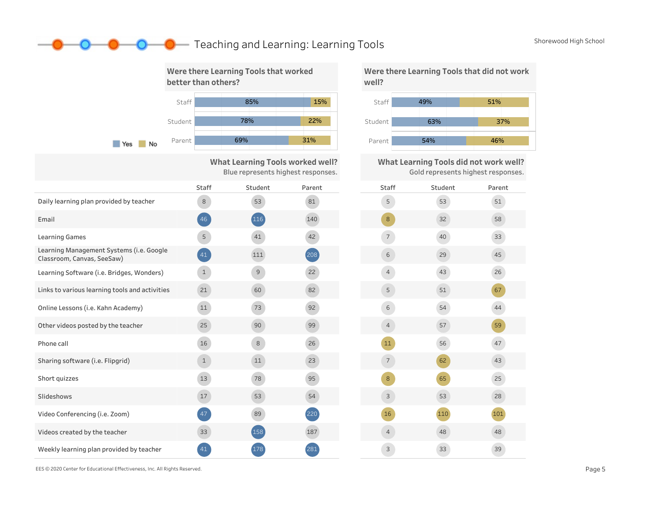### **O** Teaching and Learning: Learning Tools Shorewood High School



Were there Learning Tools that did not work well?



What Learning Tools did not work well? Gold represents highest responses.

| Staff                    | Student | Parent |
|--------------------------|---------|--------|
| 5                        | 53      | 51     |
| $\bf 8$                  | 32      | 58     |
| $\overline{\phantom{a}}$ | 40      | 33     |
| 6                        | 29      | 45     |
| $\overline{4}$           | 43      | 26     |
| 5                        | 51      | 67     |
| $\epsilon$               | 54      | 44     |
| $\overline{4}$           | 57      | 59     |
| 11                       | 56      | 47     |
| $\overline{\phantom{a}}$ | 62      | 43     |
| 8                        | 65      | 25     |
| 3                        | 53      | 28     |
| 16                       | 110     | 101    |
| $\overline{4}$           | 48      | $48\,$ |
| 3                        | 33      | 39     |

EES © 2020 Center for Educational Effectiveness, Inc. All Rights Reserved. **Page 5** Page 5

Weekly learning plan provided by teacher 141 (281) 178 (281)

Videos created by the teacher

Email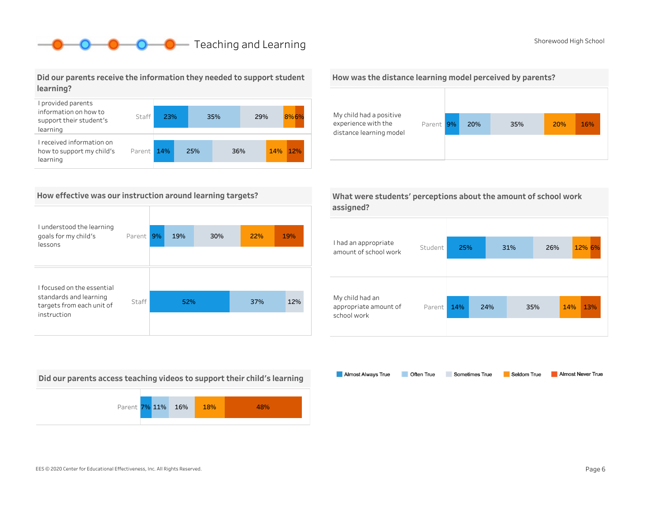## **O** Teaching and Learning Shorewood High School

#### Did our parents receive the information they needed to support student learning?



#### How effective was our instruction around learning targets?

| I understood the learning                           |        |    |     |     |     |     |
|-----------------------------------------------------|--------|----|-----|-----|-----|-----|
| goals for my child's<br>lessons                     | Parent | 9% | 19% | 30% | 22% | 19% |
|                                                     |        |    |     |     |     |     |
| I focused on the essential                          |        |    |     |     |     |     |
| standards and learning<br>targets from each unit of | Staff  |    | 52% |     | 37% | 12% |
| instruction                                         |        |    |     |     |     |     |

Did our parents access teaching videos to support their child's learning



#### How was the distance learning model perceived by parents?



|           | What were students' perceptions about the amount of school work |
|-----------|-----------------------------------------------------------------|
| assigned? |                                                                 |

| I had an appropriate<br>amount of school work           | Student | 25% |     | 31% | 26% | 12% 6%     |
|---------------------------------------------------------|---------|-----|-----|-----|-----|------------|
| My child had an<br>appropriate amount of<br>school work | Parent  | 14% | 24% |     | 35% | 14%<br>13% |

Almost Always True Sometimes True Almost Never True Often True Seldom True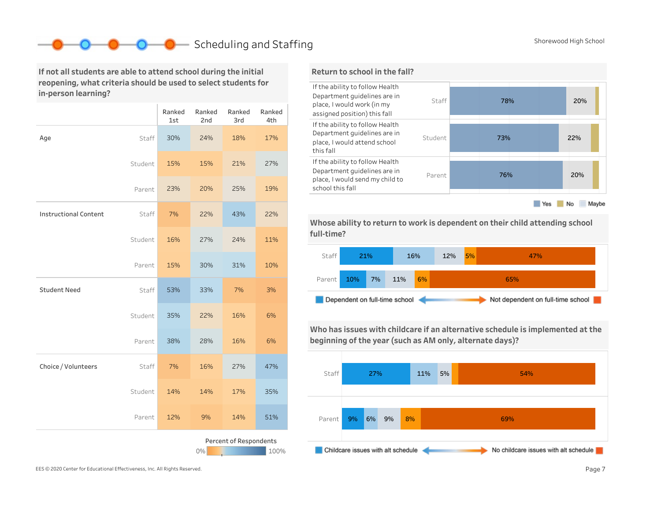### Scheduling and Staffing Shorewood High School Shorewood High School

If not all students are able to attend school during the initial reopening, what criteria should be used to select students for in-person learning?

|                                      |         | Ranked<br>1st | Ranked<br>2nd | Ranked<br>3rd | Ranked<br>4th |  |
|--------------------------------------|---------|---------------|---------------|---------------|---------------|--|
| Age                                  | Staff   | 30%           | 24%           | 18%           | 17%           |  |
|                                      | Student | 15%           | 15%           | 21%           | 27%           |  |
|                                      | Parent  | 23%           | 20%           | 25%           | 19%           |  |
| <b>Instructional Content</b>         | Staff   | 7%            | 22%           | 43%           | 22%           |  |
|                                      | Student | 16%           | 27%           | 24%           | 11%           |  |
|                                      | Parent  | 15%           | 30%           | 31%           | 10%           |  |
| <b>Student Need</b>                  | Staff   | 53%           | 33%           | 7%            | 3%            |  |
|                                      | Student | 35%           | 22%           | 16%           | 6%            |  |
|                                      | Parent  | 38%           | 28%           | 16%           | 6%            |  |
| Choice / Volunteers                  | Staff   | 7%            | 16%           | 27%           | 47%           |  |
|                                      | Student | 14%           | 14%           | 17%           | 35%           |  |
|                                      | Parent  | 12%           | 9%            | 14%           | 51%           |  |
| Percent of Respondents<br>0%<br>100% |         |               |               |               |               |  |



Whose ability to return to work is dependent on their child attending school full-time?



Who has issues with childcare if an alternative schedule is implemented at the beginning of the year (such as AM only, alternate days)?

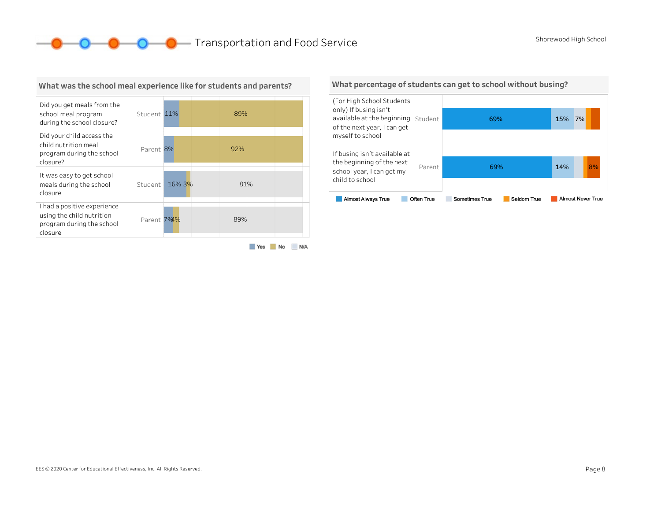**OCOOO** Transportation and Food Service Shorewood High School



#### What was the school meal experience like for students and parents?

What percentage of students can get to school without busing?

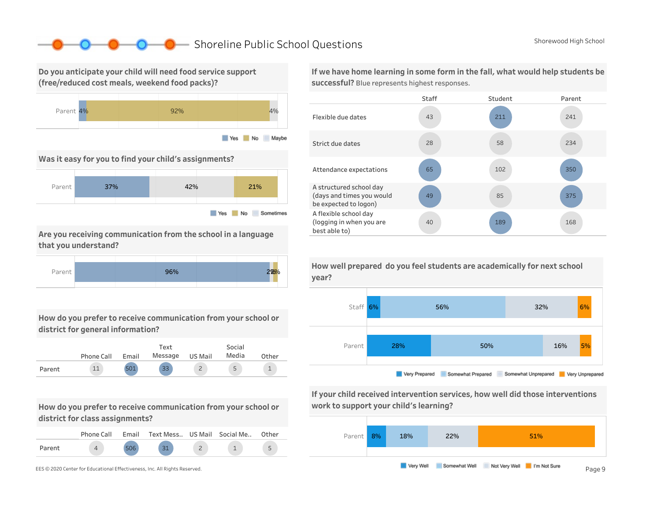### Shoreline Public School Questions Shorewood High School

Do you anticipate your child will need food service support (free/reduced cost meals, weekend food packs)?



Was it easy for you to find your child's assignments?



Are you receiving communication from the school in a language that you understand?



How do you prefer to receive communication from your school or district for general information?

|        | Phone Call | Email | Text<br>Message | US Mail | Social<br>Media | Other |
|--------|------------|-------|-----------------|---------|-----------------|-------|
| Parent |            | 501   | 33              |         | 5               |       |

How do you prefer to receive communication from your school or district for class assignments?

|        | Phone Call | Email Text Mess US Mail Social Me |  | Other |
|--------|------------|-----------------------------------|--|-------|
| Parent |            | 21                                |  |       |

If we have home learning in some form in the fall, what would help students be successful? Blue represents highest responses.





If your child received intervention services, how well did those interventions work to support your child's learning?



How well prepared do you feel students are academically for next school year?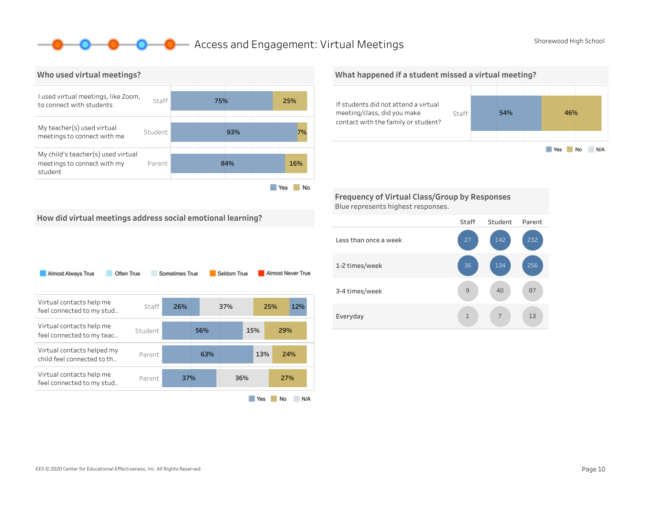### **O** Access and Engagement: Virtual Meetings Shorewood High School



What happened if a student missed a virtual meeting?



Frequency of Virtual Class/Group by Responses Blue represents highest responses.

How did virtual meetings address social emotional learning?

| Often True<br>Almost Always True                          |         | Sometimes True |     | Seldom True |     | Almost Never True |
|-----------------------------------------------------------|---------|----------------|-----|-------------|-----|-------------------|
| Virtual contacts help me<br>feel connected to my stud     | Staff   | 26%            |     | 37%         | 25% | 12%               |
| Virtual contacts help me<br>feel connected to my teac     | Student |                | 56% |             | 15% | 29%               |
| Virtual contacts helped my<br>child feel connected to th. | Parent  |                | 63% |             | 13% | 24%               |
| Virtual contacts help me<br>feel connected to my stud     | Parent  | 37%            |     | 36%         |     | 27%               |
|                                                           |         |                |     |             | Yes | No<br>N/A         |

Staff Student Parent Lessthanonceaweek 1-2times/week 3-4 times/week Everyday 1 1 7 13 87 256 232 7 40 134 142 1 9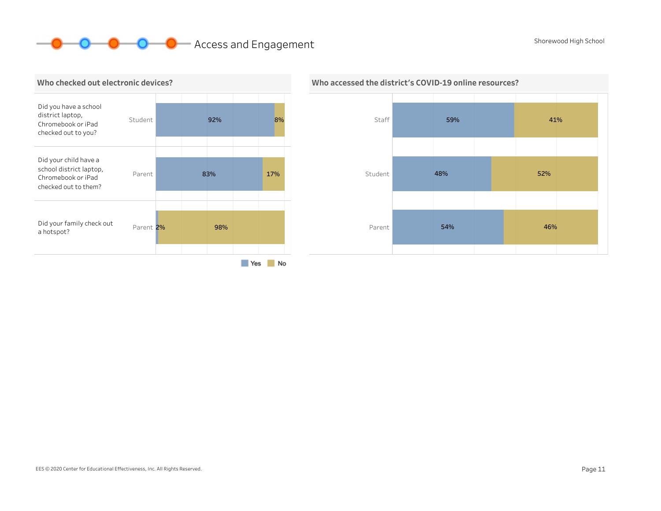# **O O** Access and Engagement Shorewood High School Shorewood High School



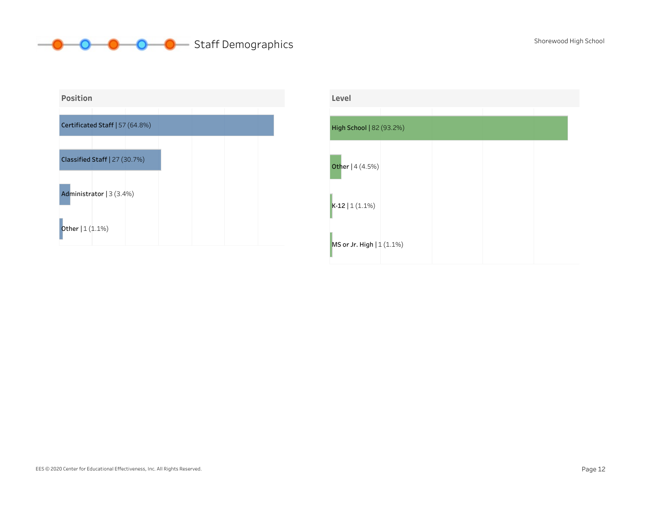# **O** O O Staff Demographics Shorewood High School



| Level                     |  |  |
|---------------------------|--|--|
| High School   82 (93.2%)  |  |  |
| Other   4 (4.5%)          |  |  |
| $K-12   1(1.1%)$          |  |  |
| MS or Jr. High   1 (1.1%) |  |  |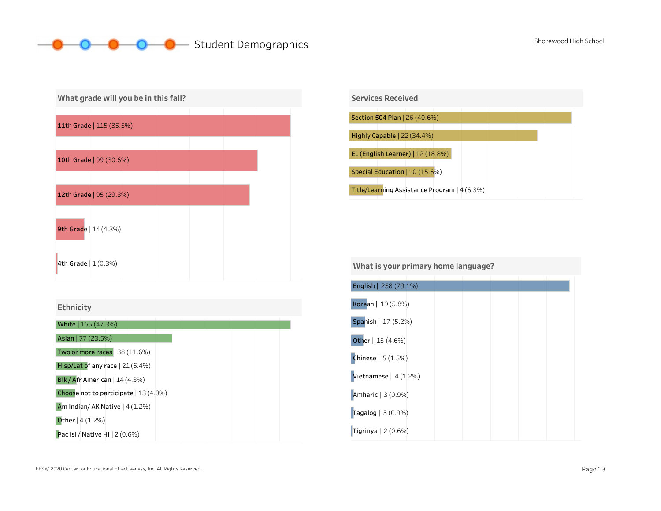# O Student Demographics Shorewood High School



| <b>Ethnicity</b> |  |  |
|------------------|--|--|
|                  |  |  |
|                  |  |  |





#### What is your primary home language?

| English   258 (79.1%)      |  |  |
|----------------------------|--|--|
| Korean   19 (5.8%)         |  |  |
| Spanish   17 (5.2%)        |  |  |
| Other   15 (4.6%)          |  |  |
| <b>Chinese</b>   $5(1.5%)$ |  |  |
| Vietnamese   $4(1.2%)$     |  |  |
| Amharic   3 (0.9%)         |  |  |
| Tagalog   3 (0.9%)         |  |  |
| Tigrinya   $2(0.6%)$       |  |  |